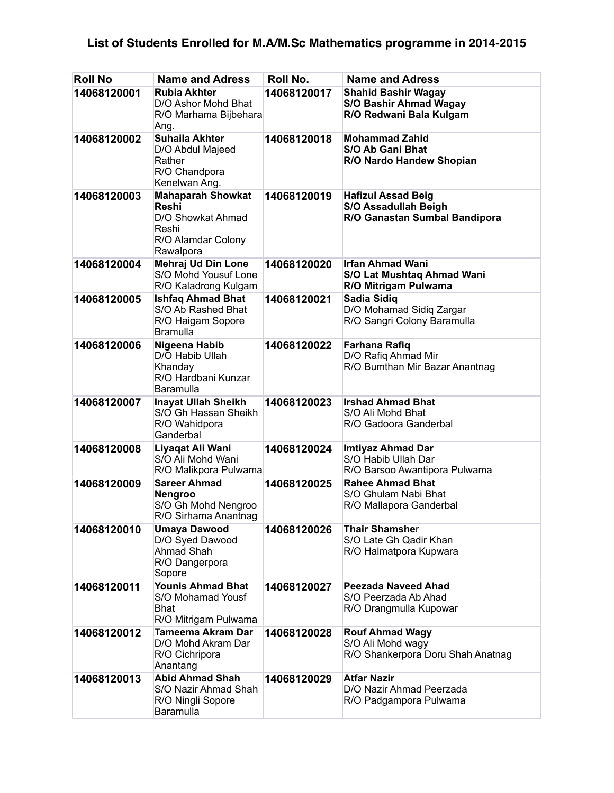## **List of Students Enrolled for M.A/M.Sc Mathematics programme in 2014-2015**

| <b>Roll No</b> | <b>Name and Adress</b>                                                                             | Roll No.    | <b>Name and Adress</b>                                                                    |
|----------------|----------------------------------------------------------------------------------------------------|-------------|-------------------------------------------------------------------------------------------|
| 14068120001    | <b>Rubia Akhter</b><br>D/O Ashor Mohd Bhat<br>R/O Marhama Bijbehara<br>Ang.                        | 14068120017 | <b>Shahid Bashir Wagay</b><br><b>S/O Bashir Ahmad Wagay</b><br>R/O Redwani Bala Kulgam    |
| 14068120002    | <b>Suhaila Akhter</b><br>D/O Abdul Majeed<br>Rather<br>R/O Chandpora<br>Kenelwan Ang.              | 14068120018 | <b>Mohammad Zahid</b><br>S/O Ab Gani Bhat<br>R/O Nardo Handew Shopian                     |
| 14068120003    | <b>Mahaparah Showkat</b><br>Reshi<br>D/O Showkat Ahmad<br>Reshi<br>R/O Alamdar Colony<br>Rawalpora | 14068120019 | <b>Hafizul Assad Beig</b><br><b>S/O Assadullah Beigh</b><br>R/O Ganastan Sumbal Bandipora |
| 14068120004    | Mehraj Ud Din Lone<br>S/O Mohd Yousuf Lone<br>R/O Kaladrong Kulgam                                 | 14068120020 | <b>Irfan Ahmad Wani</b><br>S/O Lat Mushtaq Ahmad Wani<br>R/O Mitrigam Pulwama             |
| 14068120005    | <b>Ishfaq Ahmad Bhat</b><br>S/O Ab Rashed Bhat<br>R/O Haigam Sopore<br>Bramulla                    | 14068120021 | <b>Sadia Sidiq</b><br>D/O Mohamad Sidiq Zargar<br>R/O Sangri Colony Baramulla             |
| 14068120006    | Nigeena Habib<br>D/O Habib Ullah<br>Khanday<br>R/O Hardbani Kunzar<br>Baramulla                    | 14068120022 | Farhana Rafiq<br>D/O Rafiq Ahmad Mir<br>R/O Bumthan Mir Bazar Anantnag                    |
| 14068120007    | <b>Inayat Ullah Sheikh</b><br>S/O Gh Hassan Sheikh<br>R/O Wahidpora<br>Ganderbal                   | 14068120023 | <b>Irshad Ahmad Bhat</b><br>S/O Ali Mohd Bhat<br>R/O Gadoora Ganderbal                    |
| 14068120008    | Liyaqat Ali Wani<br>S/O Ali Mohd Wani<br>R/O Malikpora Pulwama                                     | 14068120024 | Imtiyaz Ahmad Dar<br>S/O Habib Ullah Dar<br>R/O Barsoo Awantipora Pulwama                 |
| 14068120009    | <b>Sareer Ahmad</b><br>Nengroo<br>S/O Gh Mohd Nengroo<br>R/O Sirhama Anantnag                      | 14068120025 | <b>Rahee Ahmad Bhat</b><br>S/O Ghulam Nabi Bhat<br>R/O Mallapora Ganderbal                |
| 14068120010    | <b>Umaya Dawood</b><br>D/O Syed Dawood<br>Ahmad Shah<br>R/O Dangerpora<br>Sopore                   | 14068120026 | <b>Thair Shamsher</b><br>S/O Late Gh Qadir Khan<br>R/O Halmatpora Kupwara                 |
| 14068120011    | <b>Younis Ahmad Bhat</b><br>S/O Mohamad Yousf<br>Bhat<br>R/O Mitrigam Pulwama                      | 14068120027 | <b>Peezada Naveed Ahad</b><br>S/O Peerzada Ab Ahad<br>R/O Drangmulla Kupowar              |
| 14068120012    | Tameema Akram Dar<br>D/O Mohd Akram Dar<br>R/O Cichripora<br>Anantang                              | 14068120028 | <b>Rouf Ahmad Wagy</b><br>S/O Ali Mohd wagy<br>R/O Shankerpora Doru Shah Anatnag          |
| 14068120013    | <b>Abid Ahmad Shah</b><br>S/O Nazir Ahmad Shah<br>R/O Ningli Sopore<br>Baramulla                   | 14068120029 | <b>Atfar Nazir</b><br>D/O Nazir Ahmad Peerzada<br>R/O Padgampora Pulwama                  |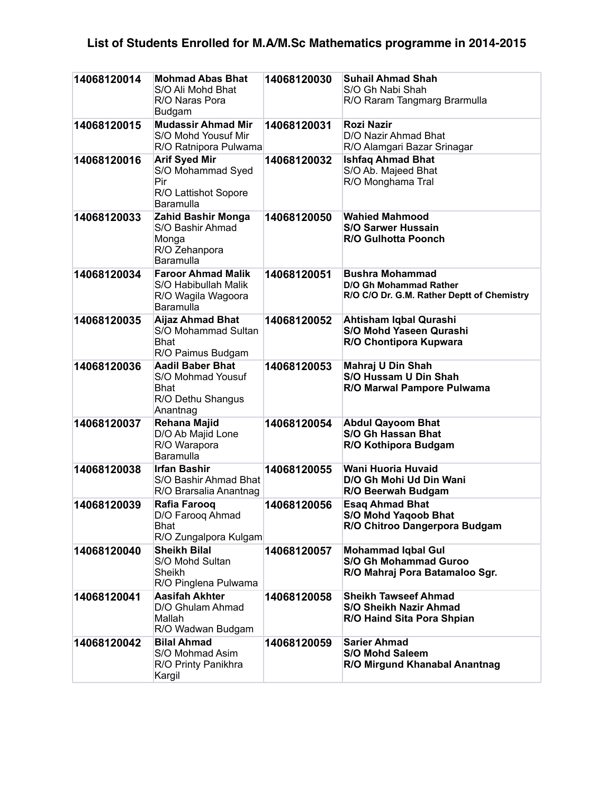## **List of Students Enrolled for M.A/M.Sc Mathematics programme in 2014-2015**

| 14068120014 | <b>Mohmad Abas Bhat</b><br>S/O Ali Mohd Bhat<br>R/O Naras Pora<br>Budgam              | 14068120030 | <b>Suhail Ahmad Shah</b><br>S/O Gh Nabi Shah<br>R/O Raram Tangmarg Brarmulla                   |
|-------------|---------------------------------------------------------------------------------------|-------------|------------------------------------------------------------------------------------------------|
| 14068120015 | <b>Mudassir Ahmad Mir</b><br>S/O Mohd Yousuf Mir<br>R/O Ratnipora Pulwama             | 14068120031 | Rozi Nazir<br>D/O Nazir Ahmad Bhat<br>R/O Alamgari Bazar Srinagar                              |
| 14068120016 | <b>Arif Syed Mir</b><br>S/O Mohammad Syed<br>Pir<br>R/O Lattishot Sopore<br>Baramulla | 14068120032 | <b>Ishfaq Ahmad Bhat</b><br>S/O Ab. Majeed Bhat<br>R/O Monghama Tral                           |
| 14068120033 | <b>Zahid Bashir Monga</b><br>S/O Bashir Ahmad<br>Monga<br>R/O Zehanpora<br>Baramulla  | 14068120050 | <b>Wahied Mahmood</b><br><b>S/O Sarwer Hussain</b><br><b>R/O Gulhotta Poonch</b>               |
| 14068120034 | <b>Faroor Ahmad Malik</b><br>S/O Habibullah Malik<br>R/O Wagila Wagoora<br>Baramulla  | 14068120051 | <b>Bushra Mohammad</b><br>D/O Gh Mohammad Rather<br>R/O C/O Dr. G.M. Rather Deptt of Chemistry |
| 14068120035 | <b>Aijaz Ahmad Bhat</b><br>S/O Mohammad Sultan<br><b>Bhat</b><br>R/O Paimus Budgam    | 14068120052 | Ahtisham Iqbal Qurashi<br><b>S/O Mohd Yaseen Qurashi</b><br>R/O Chontipora Kupwara             |
| 14068120036 | <b>Aadil Baber Bhat</b><br>S/O Mohmad Yousuf<br>Bhat<br>R/O Dethu Shangus<br>Anantnag | 14068120053 | Mahraj U Din Shah<br><b>S/O Hussam U Din Shah</b><br>R/O Marwal Pampore Pulwama                |
| 14068120037 | Rehana Majid<br>D/O Ab Majid Lone<br>R/O Warapora<br>Baramulla                        | 14068120054 | <b>Abdul Qayoom Bhat</b><br><b>S/O Gh Hassan Bhat</b><br>R/O Kothipora Budgam                  |
| 14068120038 | <b>Irfan Bashir</b><br>S/O Bashir Ahmad Bhat<br>R/O Brarsalia Anantnag                | 14068120055 | Wani Huoria Huvaid<br>D/O Gh Mohi Ud Din Wani<br>R/O Beerwah Budgam                            |
| 14068120039 | Rafia Farooq<br>D/O Faroog Ahmad<br><b>Bhat</b><br>R/O Zungalpora Kulgam              | 14068120056 | <b>Esag Ahmad Bhat</b><br><b>S/O Mohd Yaqoob Bhat</b><br>R/O Chitroo Dangerpora Budgam         |
| 14068120040 | <b>Sheikh Bilal</b><br>S/O Mohd Sultan<br>Sheikh<br>R/O Pinglena Pulwama              | 14068120057 | <b>Mohammad Iqbal Gul</b><br><b>S/O Gh Mohammad Guroo</b><br>R/O Mahraj Pora Batamaloo Sgr.    |
| 14068120041 | <b>Aasifah Akhter</b><br>D/O Ghulam Ahmad<br>Mallah<br>R/O Wadwan Budgam              | 14068120058 | <b>Sheikh Tawseef Ahmad</b><br><b>S/O Sheikh Nazir Ahmad</b><br>R/O Haind Sita Pora Shpian     |
| 14068120042 | <b>Bilal Ahmad</b><br>S/O Mohmad Asim<br>R/O Printy Panikhra<br>Kargil                | 14068120059 | <b>Sarier Ahmad</b><br><b>S/O Mohd Saleem</b><br>R/O Mirgund Khanabal Anantnag                 |